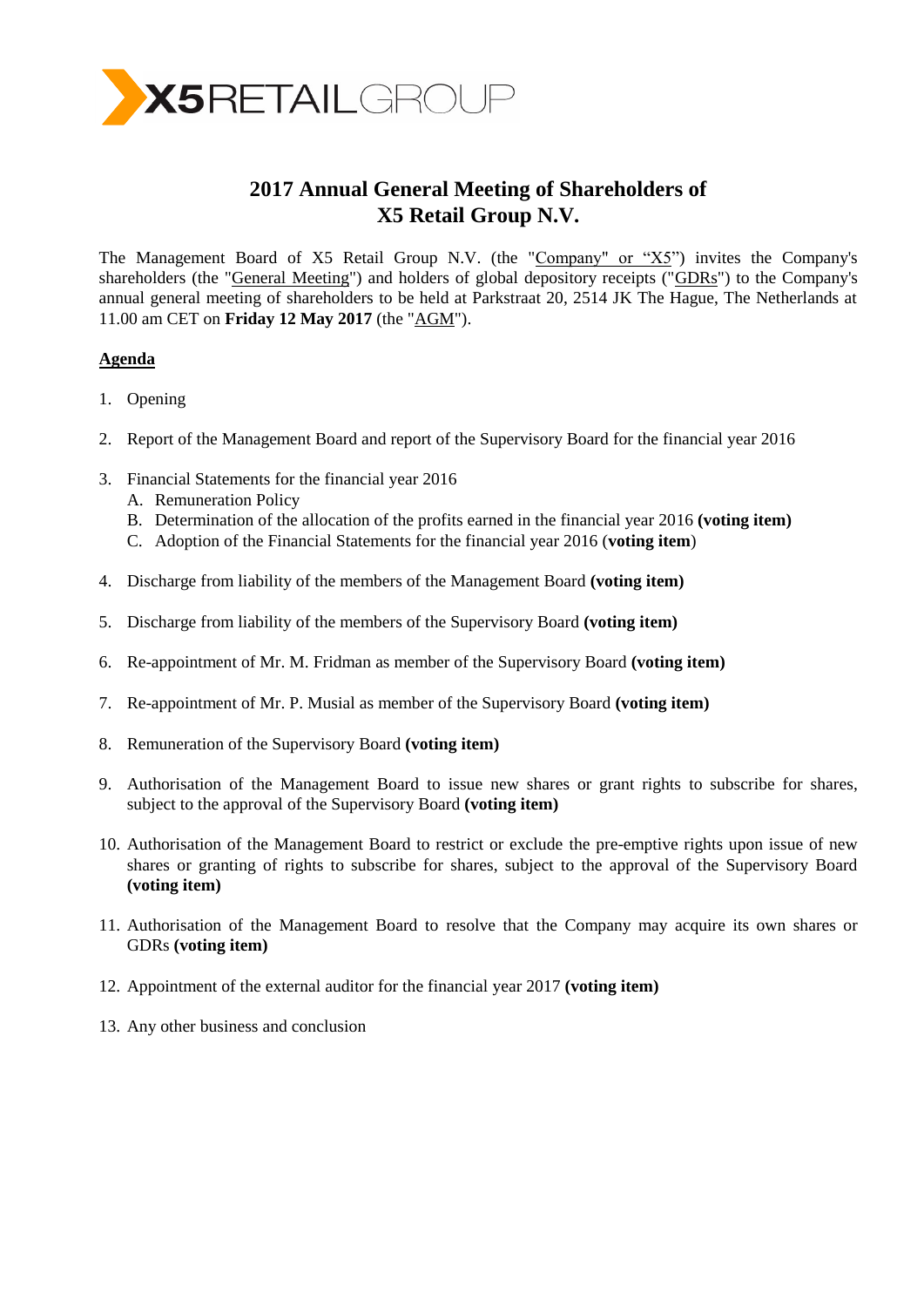

# **2017 Annual General Meeting of Shareholders of X5 Retail Group N.V.**

The Management Board of X5 Retail Group N.V. (the "Company" or "X5") invites the Company's shareholders (the "General Meeting") and holders of global depository receipts ("GDRs") to the Company's annual general meeting of shareholders to be held at Parkstraat 20, 2514 JK The Hague, The Netherlands at 11.00 am CET on **Friday 12 May 2017** (the "AGM").

# **Agenda**

- 1. Opening
- 2. Report of the Management Board and report of the Supervisory Board for the financial year 2016
- 3. Financial Statements for the financial year 2016
	- A. Remuneration Policy
	- B. Determination of the allocation of the profits earned in the financial year 2016 **(voting item)**
	- C. Adoption of the Financial Statements for the financial year 2016 (**voting item**)
- 4. Discharge from liability of the members of the Management Board **(voting item)**
- 5. Discharge from liability of the members of the Supervisory Board **(voting item)**
- 6. Re-appointment of Mr. M. Fridman as member of the Supervisory Board **(voting item)**
- 7. Re-appointment of Mr. P. Musial as member of the Supervisory Board **(voting item)**
- 8. Remuneration of the Supervisory Board **(voting item)**
- 9. Authorisation of the Management Board to issue new shares or grant rights to subscribe for shares, subject to the approval of the Supervisory Board **(voting item)**
- 10. Authorisation of the Management Board to restrict or exclude the pre-emptive rights upon issue of new shares or granting of rights to subscribe for shares, subject to the approval of the Supervisory Board **(voting item)**
- 11. Authorisation of the Management Board to resolve that the Company may acquire its own shares or GDRs **(voting item)**
- 12. Appointment of the external auditor for the financial year 2017 **(voting item)**
- 13. Any other business and conclusion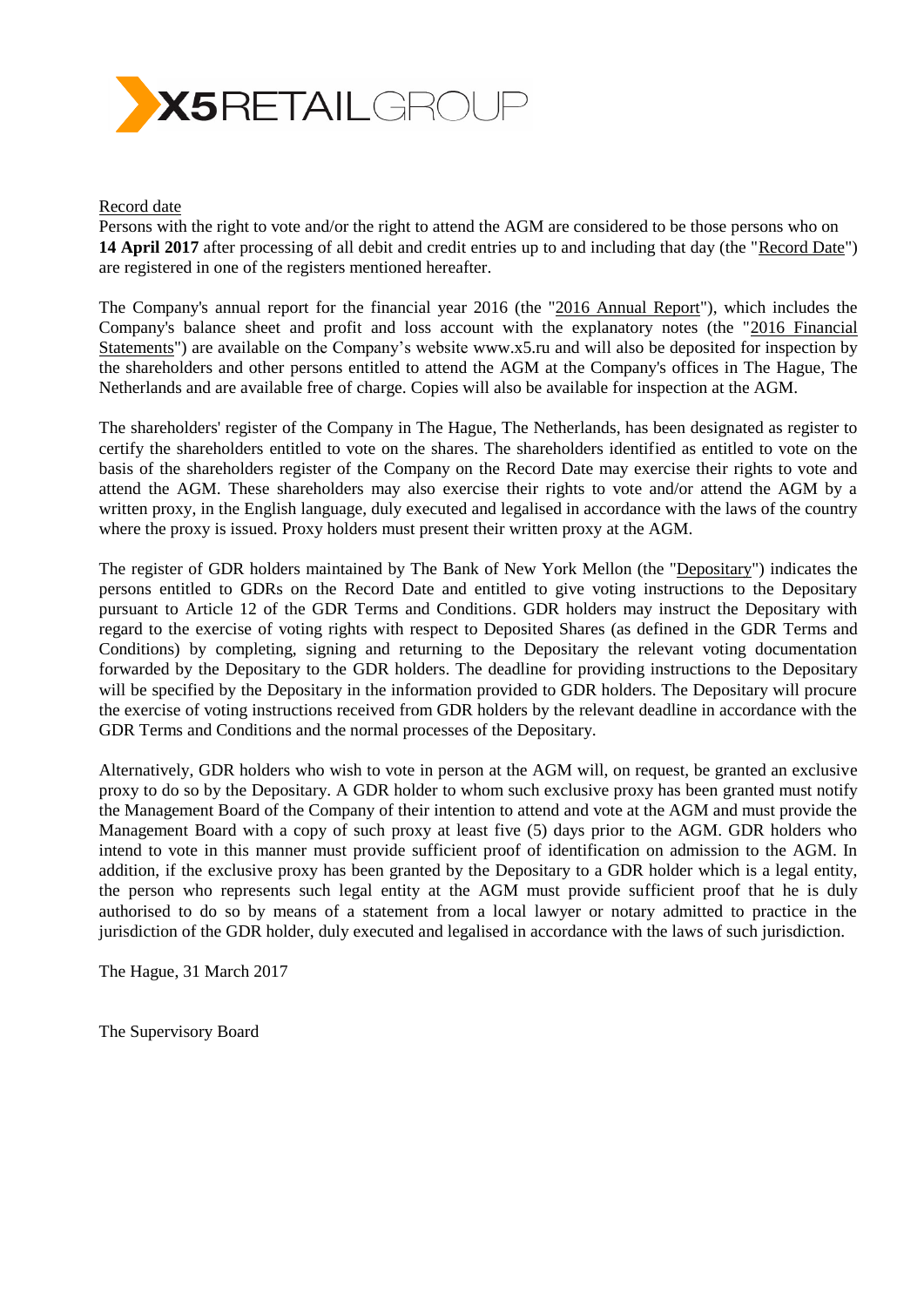

#### Record date

Persons with the right to vote and/or the right to attend the AGM are considered to be those persons who on **14 April 2017** after processing of all debit and credit entries up to and including that day (the "Record Date") are registered in one of the registers mentioned hereafter.

The Company's annual report for the financial year 2016 (the "2016 Annual Report"), which includes the Company's balance sheet and profit and loss account with the explanatory notes (the "2016 Financial Statements") are available on the Company's website [www.x5.ru](http://www.x5.ru/) and will also be deposited for inspection by the shareholders and other persons entitled to attend the AGM at the Company's offices in The Hague, The Netherlands and are available free of charge. Copies will also be available for inspection at the AGM.

The shareholders' register of the Company in The Hague, The Netherlands, has been designated as register to certify the shareholders entitled to vote on the shares. The shareholders identified as entitled to vote on the basis of the shareholders register of the Company on the Record Date may exercise their rights to vote and attend the AGM. These shareholders may also exercise their rights to vote and/or attend the AGM by a written proxy, in the English language, duly executed and legalised in accordance with the laws of the country where the proxy is issued. Proxy holders must present their written proxy at the AGM.

The register of GDR holders maintained by The Bank of New York Mellon (the "Depositary") indicates the persons entitled to GDRs on the Record Date and entitled to give voting instructions to the Depositary pursuant to Article 12 of the GDR Terms and Conditions. GDR holders may instruct the Depositary with regard to the exercise of voting rights with respect to Deposited Shares (as defined in the GDR Terms and Conditions) by completing, signing and returning to the Depositary the relevant voting documentation forwarded by the Depositary to the GDR holders. The deadline for providing instructions to the Depositary will be specified by the Depositary in the information provided to GDR holders. The Depositary will procure the exercise of voting instructions received from GDR holders by the relevant deadline in accordance with the GDR Terms and Conditions and the normal processes of the Depositary.

Alternatively, GDR holders who wish to vote in person at the AGM will, on request, be granted an exclusive proxy to do so by the Depositary. A GDR holder to whom such exclusive proxy has been granted must notify the Management Board of the Company of their intention to attend and vote at the AGM and must provide the Management Board with a copy of such proxy at least five (5) days prior to the AGM. GDR holders who intend to vote in this manner must provide sufficient proof of identification on admission to the AGM. In addition, if the exclusive proxy has been granted by the Depositary to a GDR holder which is a legal entity, the person who represents such legal entity at the AGM must provide sufficient proof that he is duly authorised to do so by means of a statement from a local lawyer or notary admitted to practice in the jurisdiction of the GDR holder, duly executed and legalised in accordance with the laws of such jurisdiction.

The Hague, 31 March 2017

The Supervisory Board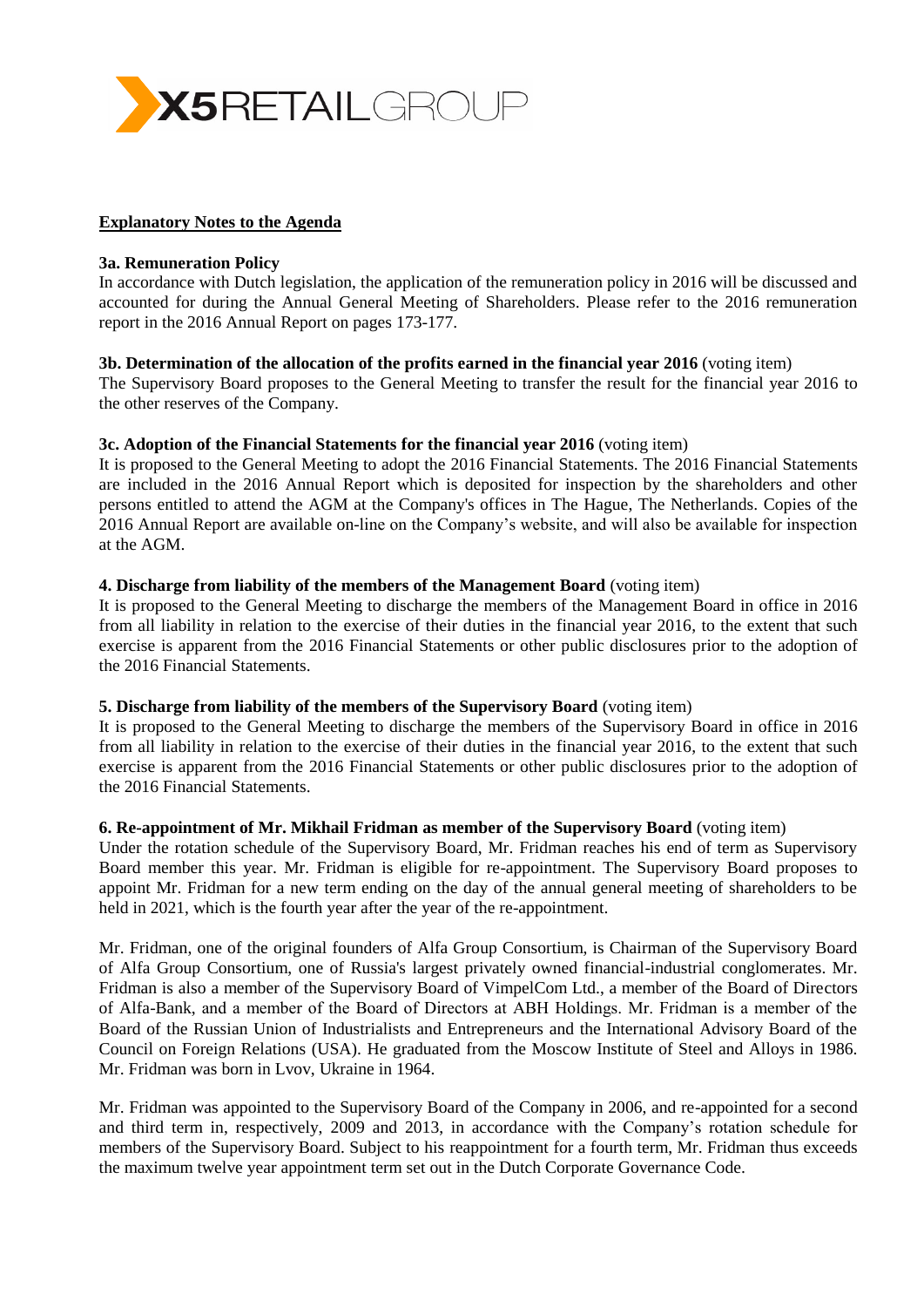

#### **Explanatory Notes to the Agenda**

#### **3a. Remuneration Policy**

In accordance with Dutch legislation, the application of the remuneration policy in 2016 will be discussed and accounted for during the Annual General Meeting of Shareholders. Please refer to the 2016 remuneration report in the 2016 Annual Report on pages 173-177.

### **3b. Determination of the allocation of the profits earned in the financial year 2016** (voting item)

The Supervisory Board proposes to the General Meeting to transfer the result for the financial year 2016 to the other reserves of the Company.

#### **3c. Adoption of the Financial Statements for the financial year 2016** (voting item)

It is proposed to the General Meeting to adopt the 2016 Financial Statements. The 2016 Financial Statements are included in the 2016 Annual Report which is deposited for inspection by the shareholders and other persons entitled to attend the AGM at the Company's offices in The Hague, The Netherlands. Copies of the 2016 Annual Report are available on-line on the Company's website, and will also be available for inspection at the AGM.

## **4. Discharge from liability of the members of the Management Board** (voting item)

It is proposed to the General Meeting to discharge the members of the Management Board in office in 2016 from all liability in relation to the exercise of their duties in the financial year 2016, to the extent that such exercise is apparent from the 2016 Financial Statements or other public disclosures prior to the adoption of the 2016 Financial Statements.

#### **5. Discharge from liability of the members of the Supervisory Board** (voting item)

It is proposed to the General Meeting to discharge the members of the Supervisory Board in office in 2016 from all liability in relation to the exercise of their duties in the financial year 2016, to the extent that such exercise is apparent from the 2016 Financial Statements or other public disclosures prior to the adoption of the 2016 Financial Statements.

# **6. Re-appointment of Mr. Mikhail Fridman as member of the Supervisory Board** (voting item)

Under the rotation schedule of the Supervisory Board, Mr. Fridman reaches his end of term as Supervisory Board member this year. Mr. Fridman is eligible for re-appointment. The Supervisory Board proposes to appoint Mr. Fridman for a new term ending on the day of the annual general meeting of shareholders to be held in 2021, which is the fourth year after the year of the re-appointment.

Mr. Fridman, one of the original founders of Alfa Group Consortium, is Chairman of the Supervisory Board of Alfa Group Consortium, one of Russia's largest privately owned financial-industrial conglomerates. Mr. Fridman is also a member of the Supervisory Board of VimpelCom Ltd., a member of the Board of Directors of Alfa-Bank, and а member of the Board of Directors at ABH Holdings. Mr. Fridman is a member of the Board of the Russian Union of Industrialists and Entrepreneurs and the International Advisory Board of the Council on Foreign Relations (USA). He graduated from the Moscow Institute of Steel and Alloys in 1986. Mr. Fridman was born in Lvov, Ukraine in 1964.

Mr. Fridman was appointed to the Supervisory Board of the Company in 2006, and re-appointed for a second and third term in, respectively, 2009 and 2013, in accordance with the Company's rotation schedule for members of the Supervisory Board. Subject to his reappointment for a fourth term, Mr. Fridman thus exceeds the maximum twelve year appointment term set out in the Dutch Corporate Governance Code.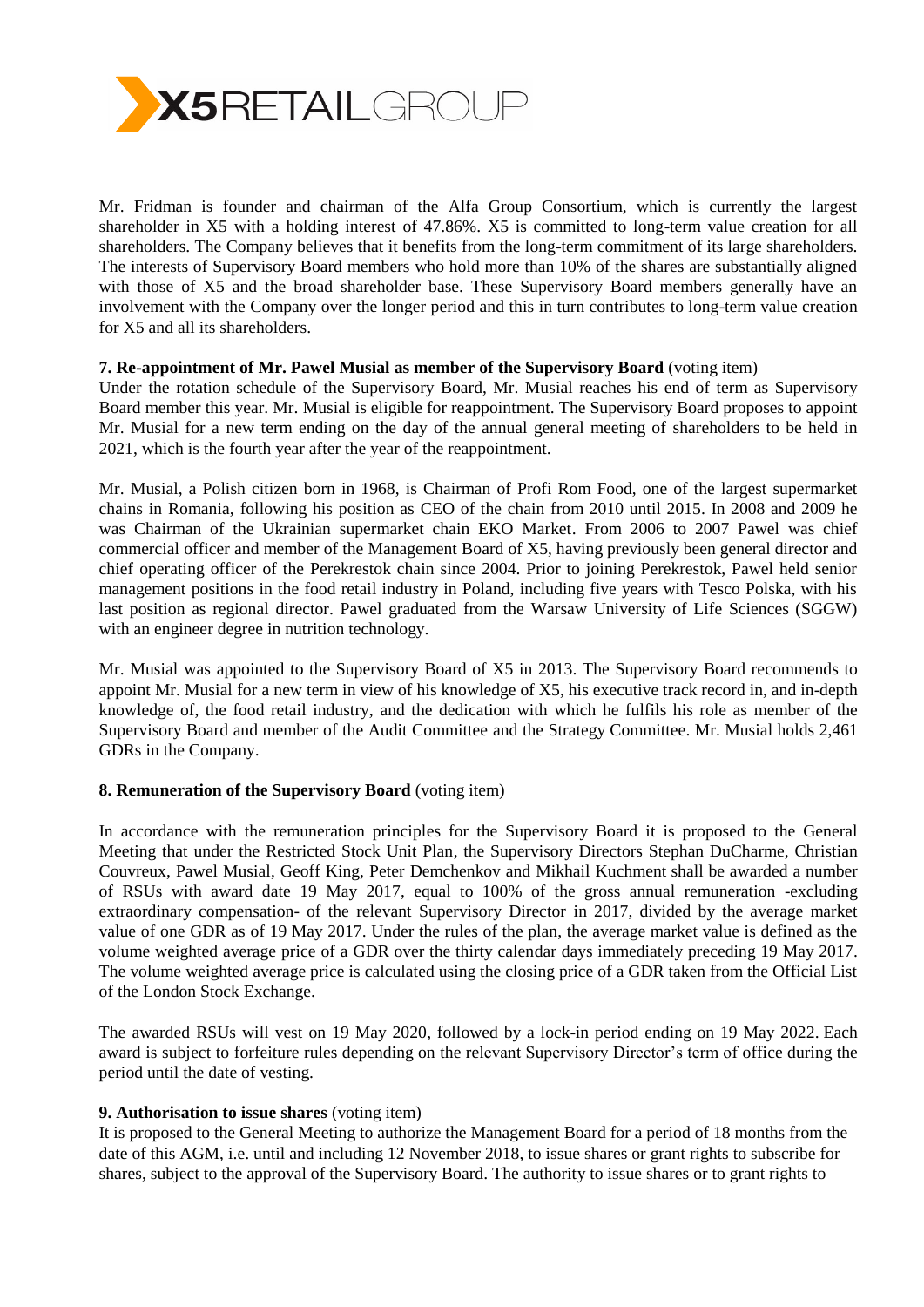

Mr. Fridman is founder and chairman of the Alfa Group Consortium, which is currently the largest shareholder in X5 with a holding interest of 47.86%. X5 is committed to long-term value creation for all shareholders. The Company believes that it benefits from the long-term commitment of its large shareholders. The interests of Supervisory Board members who hold more than 10% of the shares are substantially aligned with those of X5 and the broad shareholder base. These Supervisory Board members generally have an involvement with the Company over the longer period and this in turn contributes to long-term value creation for X5 and all its shareholders.

#### **7. Re-appointment of Mr. Pawel Musial as member of the Supervisory Board** (voting item)

Under the rotation schedule of the Supervisory Board, Mr. Musial reaches his end of term as Supervisory Board member this year. Mr. Musial is eligible for reappointment. The Supervisory Board proposes to appoint Mr. Musial for a new term ending on the day of the annual general meeting of shareholders to be held in 2021, which is the fourth year after the year of the reappointment.

Mr. Musial, a Polish citizen born in 1968, is Chairman of Profi Rom Food, one of the largest supermarket chains in Romania, following his position as CEO of the chain from 2010 until 2015. In 2008 and 2009 he was Chairman of the Ukrainian supermarket chain EKO Market. From 2006 to 2007 Pawel was chief commercial officer and member of the Management Board of X5, having previously been general director and chief operating officer of the Perekrestok chain since 2004. Prior to joining Perekrestok, Pawel held senior management positions in the food retail industry in Poland, including five years with Tesco Polska, with his last position as regional director. Pawel graduated from the Warsaw University of Life Sciences (SGGW) with an engineer degree in nutrition technology.

Mr. Musial was appointed to the Supervisory Board of X5 in 2013. The Supervisory Board recommends to appoint Mr. Musial for a new term in view of his knowledge of X5, his executive track record in, and in-depth knowledge of, the food retail industry, and the dedication with which he fulfils his role as member of the Supervisory Board and member of the Audit Committee and the Strategy Committee. Mr. Musial holds 2,461 GDRs in the Company.

# **8. Remuneration of the Supervisory Board** (voting item)

In accordance with the remuneration principles for the Supervisory Board it is proposed to the General Meeting that under the Restricted Stock Unit Plan, the Supervisory Directors Stephan DuCharme, Christian Couvreux, Pawel Musial, Geoff King, Peter Demchenkov and Mikhail Kuchment shall be awarded a number of RSUs with award date 19 May 2017, equal to 100% of the gross annual remuneration -excluding extraordinary compensation- of the relevant Supervisory Director in 2017, divided by the average market value of one GDR as of 19 May 2017. Under the rules of the plan, the average market value is defined as the volume weighted average price of a GDR over the thirty calendar days immediately preceding 19 May 2017. The volume weighted average price is calculated using the closing price of a GDR taken from the Official List of the London Stock Exchange.

The awarded RSUs will vest on 19 May 2020, followed by a lock-in period ending on 19 May 2022. Each award is subject to forfeiture rules depending on the relevant Supervisory Director's term of office during the period until the date of vesting.

#### **9. Authorisation to issue shares** (voting item)

It is proposed to the General Meeting to authorize the Management Board for a period of 18 months from the date of this AGM, i.e. until and including 12 November 2018, to issue shares or grant rights to subscribe for shares, subject to the approval of the Supervisory Board. The authority to issue shares or to grant rights to